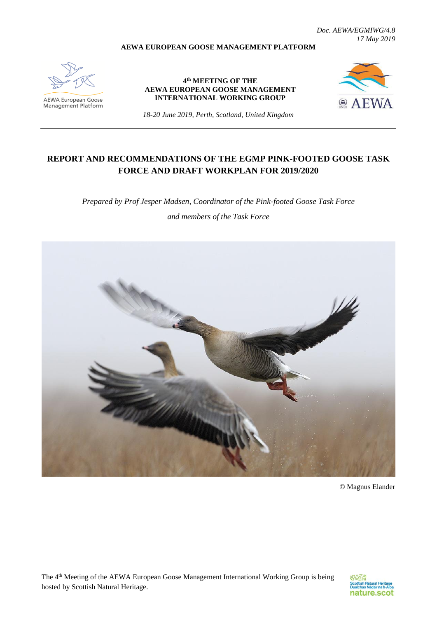**AEWA EUROPEAN GOOSE MANAGEMENT PLATFORM**

*Doc. AEWA/EGMIWG/4.8 17 May 2019*

**AEWA European Goose**<br>Management Platform

**4 th MEETING OF THE AEWA EUROPEAN GOOSE MANAGEMENT INTERNATIONAL WORKING GROUP**



*18-20 June 2019, Perth, Scotland, United Kingdom*

# **REPORT AND RECOMMENDATIONS OF THE EGMP PINK-FOOTED GOOSE TASK FORCE AND DRAFT WORKPLAN FOR 2019/2020**

*Prepared by Prof Jesper Madsen, Coordinator of the Pink-footed Goose Task Force and members of the Task Force*



© Magnus Elander

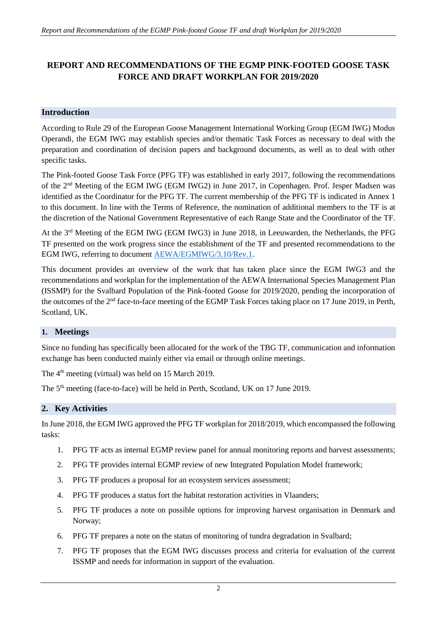# **REPORT AND RECOMMENDATIONS OF THE EGMP PINK-FOOTED GOOSE TASK FORCE AND DRAFT WORKPLAN FOR 2019/2020**

## **Introduction**

According to Rule 29 of the European Goose Management International Working Group (EGM IWG) Modus Operandi, the EGM IWG may establish species and/or thematic Task Forces as necessary to deal with the preparation and coordination of decision papers and background documents, as well as to deal with other specific tasks.

The Pink-footed Goose Task Force (PFG TF) was established in early 2017, following the recommendations of the 2nd Meeting of the EGM IWG (EGM IWG2) in June 2017, in Copenhagen. Prof. Jesper Madsen was identified as the Coordinator for the PFG TF. The current membership of the PFG TF is indicated in Annex 1 to this document. In line with the Terms of Reference, the nomination of additional members to the TF is at the discretion of the National Government Representative of each Range State and the Coordinator of the TF.

At the 3rd Meeting of the EGM IWG (EGM IWG3) in June 2018, in Leeuwarden, the Netherlands, the PFG TF presented on the work progress since the establishment of the TF and presented recommendations to the EGM IWG, referring to document [AEWA/EGMIWG/3.10/Rev.1.](https://egmp.aewa.info/sites/default/files/meeting_files/documents/AEWA_EGM_IWG_3_10_PFG_TF_report_Rev.1.pdf)

This document provides an overview of the work that has taken place since the EGM IWG3 and the recommendations and workplan for the implementation of the AEWA International Species Management Plan (ISSMP) for the Svalbard Population of the Pink-footed Goose for 2019/2020, pending the incorporation of the outcomes of the 2nd face-to-face meeting of the EGMP Task Forces taking place on 17 June 2019, in Perth, Scotland, UK.

## **1. Meetings**

Since no funding has specifically been allocated for the work of the TBG TF, communication and information exchange has been conducted mainly either via email or through online meetings.

The  $4<sup>th</sup>$  meeting (virtual) was held on 15 March 2019.

The 5<sup>th</sup> meeting (face-to-face) will be held in Perth, Scotland, UK on 17 June 2019.

## **2. Key Activities**

In June 2018, the EGM IWG approved the PFG TF workplan for 2018/2019, which encompassed the following tasks:

- 1. PFG TF acts as internal EGMP review panel for annual monitoring reports and harvest assessments;
- 2. PFG TF provides internal EGMP review of new Integrated Population Model framework;
- 3. PFG TF produces a proposal for an ecosystem services assessment;
- 4. PFG TF produces a status fort the habitat restoration activities in Vlaanders;
- 5. PFG TF produces a note on possible options for improving harvest organisation in Denmark and Norway;
- 6. PFG TF prepares a note on the status of monitoring of tundra degradation in Svalbard;
- 7. PFG TF proposes that the EGM IWG discusses process and criteria for evaluation of the current ISSMP and needs for information in support of the evaluation.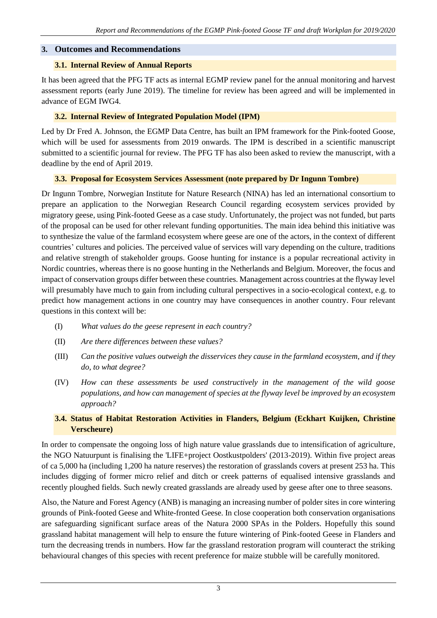## **3. Outcomes and Recommendations**

### **3.1. Internal Review of Annual Reports**

It has been agreed that the PFG TF acts as internal EGMP review panel for the annual monitoring and harvest assessment reports (early June 2019). The timeline for review has been agreed and will be implemented in advance of EGM IWG4.

## **3.2. Internal Review of Integrated Population Model (IPM)**

Led by Dr Fred A. Johnson, the EGMP Data Centre, has built an IPM framework for the Pink-footed Goose, which will be used for assessments from 2019 onwards. The IPM is described in a scientific manuscript submitted to a scientific journal for review. The PFG TF has also been asked to review the manuscript, with a deadline by the end of April 2019.

### **3.3. Proposal for Ecosystem Services Assessment (note prepared by Dr Ingunn Tombre)**

Dr Ingunn Tombre, Norwegian Institute for Nature Research (NINA) has led an international consortium to prepare an application to the Norwegian Research Council regarding ecosystem services provided by migratory geese, using Pink-footed Geese as a case study. Unfortunately, the project was not funded, but parts of the proposal can be used for other relevant funding opportunities. The main idea behind this initiative was to synthesize the value of the farmland ecosystem where geese are one of the actors, in the context of different countries' cultures and policies. The perceived value of services will vary depending on the culture, traditions and relative strength of stakeholder groups. Goose hunting for instance is a popular recreational activity in Nordic countries, whereas there is no goose hunting in the Netherlands and Belgium. Moreover, the focus and impact of conservation groups differ between these countries. Management across countries at the flyway level will presumably have much to gain from including cultural perspectives in a socio-ecological context, e.g. to predict how management actions in one country may have consequences in another country. Four relevant questions in this context will be:

- (I) *What values do the geese represent in each country?*
- (II) *Are there differences between these values?*
- (III) *Can the positive values outweigh the disservices they cause in the farmland ecosystem, and if they do, to what degree?*
- (IV) *How can these assessments be used constructively in the management of the wild goose populations, and how can management of species at the flyway level be improved by an ecosystem approach?*

## **3.4. Status of Habitat Restoration Activities in Flanders, Belgium (Eckhart Kuijken, Christine Verscheure)**

In order to compensate the ongoing loss of high nature value grasslands due to intensification of agriculture, the NGO Natuurpunt is finalising the 'LIFE+project Oostkustpolders' (2013-2019). Within five project areas of ca 5,000 ha (including 1,200 ha nature reserves) the restoration of grasslands covers at present 253 ha. This includes digging of former micro relief and ditch or creek patterns of equalised intensive grasslands and recently ploughed fields. Such newly created grasslands are already used by geese after one to three seasons.

Also, the Nature and Forest Agency (ANB) is managing an increasing number of polder sites in core wintering grounds of Pink-footed Geese and White-fronted Geese. In close cooperation both conservation organisations are safeguarding significant surface areas of the Natura 2000 SPAs in the Polders. Hopefully this sound grassland habitat management will help to ensure the future wintering of Pink-footed Geese in Flanders and turn the decreasing trends in numbers. How far the grassland restoration program will counteract the striking behavioural changes of this species with recent preference for maize stubble will be carefully monitored.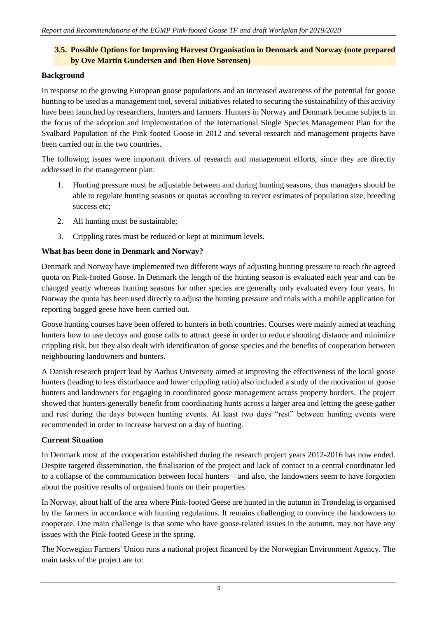## **3.5. Possible Options for Improving Harvest Organisation in Denmark and Norway (note prepared by Ove Martin Gundersen and Iben Hove Sørensen)**

#### **Background**

In response to the growing European goose populations and an increased awareness of the potential for goose hunting to be used as a management tool, several initiatives related to securing the sustainability of this activity have been launched by researchers, hunters and farmers. Hunters in Norway and Denmark became subjects in the focus of the adoption and implementation of the International Single Species Management Plan for the Svalbard Population of the Pink-footed Goose in 2012 and several research and management projects have been carried out in the two countries.

The following issues were important drivers of research and management efforts, since they are directly addressed in the management plan:

- 1. Hunting pressure must be adjustable between and during hunting seasons, thus managers should be able to regulate hunting seasons or quotas according to recent estimates of population size, breeding success etc;
- 2. All hunting must be sustainable;
- 3. Crippling rates must be reduced or kept at minimum levels.

## **What has been done in Denmark and Norway?**

Denmark and Norway have implemented two different ways of adjusting hunting pressure to reach the agreed quota on Pink-footed Goose. In Denmark the length of the hunting season is evaluated each year and can be changed yearly whereas hunting seasons for other species are generally only evaluated every four years. In Norway the quota has been used directly to adjust the hunting pressure and trials with a mobile application for reporting bagged geese have been carried out.

Goose hunting courses have been offered to hunters in both countries. Courses were mainly aimed at teaching hunters how to use decoys and goose calls to attract geese in order to reduce shooting distance and minimize crippling risk, but they also dealt with identification of goose species and the benefits of cooperation between neighbouring landowners and hunters.

A Danish research project lead by Aarhus University aimed at improving the effectiveness of the local goose hunters (leading to less disturbance and lower crippling ratio) also included a study of the motivation of goose hunters and landowners for engaging in coordinated goose management across property borders. The project showed that hunters generally benefit from coordinating hunts across a larger area and letting the geese gather and rest during the days between hunting events. At least two days "rest" between hunting events were recommended in order to increase harvest on a day of hunting.

## **Current Situation**

In Denmark most of the cooperation established during the research project years 2012-2016 has now ended. Despite targeted dissemination, the finalisation of the project and lack of contact to a central coordinator led to a collapse of the communication between local hunters – and also, the landowners seem to have forgotten about the positive results of organised hunts on their properties.

In Norway, about half of the area where Pink-footed Geese are hunted in the autumn in Trøndelag is organised by the farmers in accordance with hunting regulations. It remains challenging to convince the landowners to cooperate. One main challenge is that some who have goose-related issues in the autumn, may not have any issues with the Pink-footed Geese in the spring.

The Norwegian Farmers' Union runs a national project financed by the Norwegian Environment Agency. The main tasks of the project are to: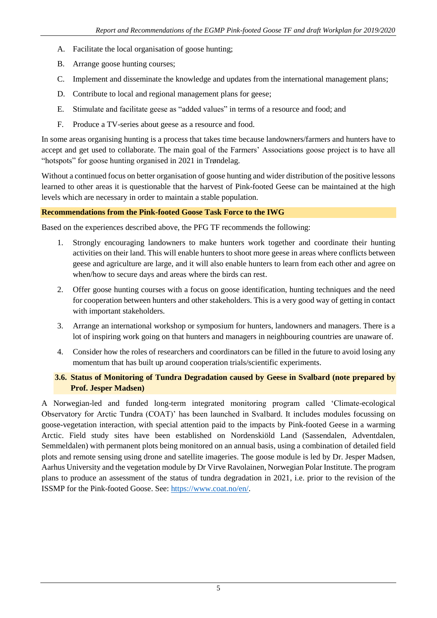- A. Facilitate the local organisation of goose hunting;
- B. Arrange goose hunting courses;
- C. Implement and disseminate the knowledge and updates from the international management plans;
- D. Contribute to local and regional management plans for geese;
- E. Stimulate and facilitate geese as "added values" in terms of a resource and food; and
- F. Produce a TV-series about geese as a resource and food.

In some areas organising hunting is a process that takes time because landowners/farmers and hunters have to accept and get used to collaborate. The main goal of the Farmers' Associations goose project is to have all "hotspots" for goose hunting organised in 2021 in Trøndelag.

Without a continued focus on better organisation of goose hunting and wider distribution of the positive lessons learned to other areas it is questionable that the harvest of Pink-footed Geese can be maintained at the high levels which are necessary in order to maintain a stable population.

#### **Recommendations from the Pink-footed Goose Task Force to the IWG**

Based on the experiences described above, the PFG TF recommends the following:

- 1. Strongly encouraging landowners to make hunters work together and coordinate their hunting activities on their land. This will enable hunters to shoot more geese in areas where conflicts between geese and agriculture are large, and it will also enable hunters to learn from each other and agree on when/how to secure days and areas where the birds can rest.
- 2. Offer goose hunting courses with a focus on goose identification, hunting techniques and the need for cooperation between hunters and other stakeholders. This is a very good way of getting in contact with important stakeholders.
- 3. Arrange an international workshop or symposium for hunters, landowners and managers. There is a lot of inspiring work going on that hunters and managers in neighbouring countries are unaware of.
- 4. Consider how the roles of researchers and coordinators can be filled in the future to avoid losing any momentum that has built up around cooperation trials/scientific experiments.

### **3.6. Status of Monitoring of Tundra Degradation caused by Geese in Svalbard (note prepared by Prof. Jesper Madsen)**

A Norwegian-led and funded long-term integrated monitoring program called 'Climate-ecological Observatory for Arctic Tundra (COAT)' has been launched in Svalbard. It includes modules focussing on goose-vegetation interaction, with special attention paid to the impacts by Pink-footed Geese in a warming Arctic. Field study sites have been established on Nordenskiöld Land (Sassendalen, Adventdalen, Semmeldalen) with permanent plots being monitored on an annual basis, using a combination of detailed field plots and remote sensing using drone and satellite imageries. The goose module is led by Dr. Jesper Madsen, Aarhus University and the vegetation module by Dr Virve Ravolainen, Norwegian Polar Institute. The program plans to produce an assessment of the status of tundra degradation in 2021, i.e. prior to the revision of the ISSMP for the Pink-footed Goose. See: [https://www.coat.no/en/.](https://www.coat.no/en/)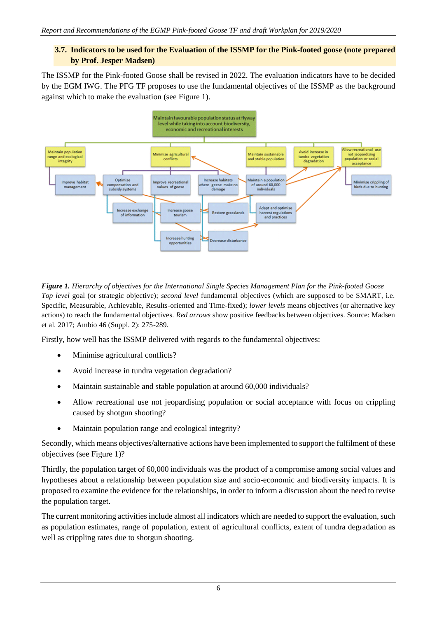## **3.7. Indicators to be used for the Evaluation of the ISSMP for the Pink-footed goose (note prepared by Prof. Jesper Madsen)**

The ISSMP for the Pink-footed Goose shall be revised in 2022. The evaluation indicators have to be decided by the EGM IWG. The PFG TF proposes to use the fundamental objectives of the ISSMP as the background against which to make the evaluation (see Figure 1).



*Figure 1. Hierarchy of objectives for the International Single Species Management Plan for the Pink-footed Goose Top level* goal (or strategic objective); *second level* fundamental objectives (which are supposed to be SMART, i.e. Specific, Measurable, Achievable, Results-oriented and Time-fixed); *lower levels* means objectives (or alternative key actions) to reach the fundamental objectives. *Red arrows* show positive feedbacks between objectives. Source: Madsen et al. 2017; Ambio 46 (Suppl. 2): 275-289.

Firstly, how well has the ISSMP delivered with regards to the fundamental objectives:

- Minimise agricultural conflicts?
- Avoid increase in tundra vegetation degradation?
- Maintain sustainable and stable population at around 60,000 individuals?
- Allow recreational use not jeopardising population or social acceptance with focus on crippling caused by shotgun shooting?
- Maintain population range and ecological integrity?

Secondly, which means objectives/alternative actions have been implemented to support the fulfilment of these objectives (see Figure 1)?

Thirdly, the population target of 60,000 individuals was the product of a compromise among social values and hypotheses about a relationship between population size and socio-economic and biodiversity impacts. It is proposed to examine the evidence for the relationships, in order to inform a discussion about the need to revise the population target.

The current monitoring activities include almost all indicators which are needed to support the evaluation, such as population estimates, range of population, extent of agricultural conflicts, extent of tundra degradation as well as crippling rates due to shotgun shooting.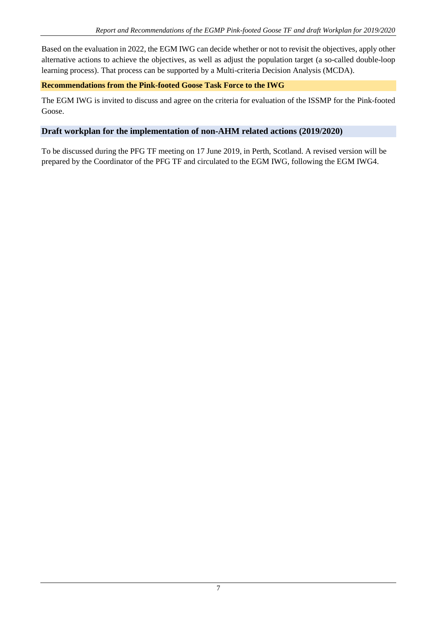Based on the evaluation in 2022, the EGM IWG can decide whether or not to revisit the objectives, apply other alternative actions to achieve the objectives, as well as adjust the population target (a so-called double-loop learning process). That process can be supported by a Multi-criteria Decision Analysis (MCDA).

## **Recommendations from the Pink-footed Goose Task Force to the IWG**

The EGM IWG is invited to discuss and agree on the criteria for evaluation of the ISSMP for the Pink-footed Goose.

## **Draft workplan for the implementation of non-AHM related actions (2019/2020)**

To be discussed during the PFG TF meeting on 17 June 2019, in Perth, Scotland. A revised version will be prepared by the Coordinator of the PFG TF and circulated to the EGM IWG, following the EGM IWG4.